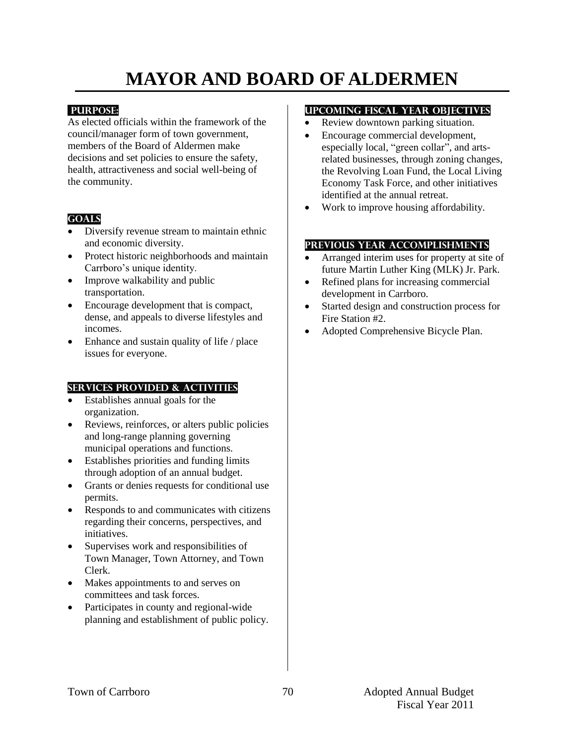# **MAYOR AND BOARD OF ALDERMEN**

#### **PURPOSE:**

As elected officials within the framework of the council/manager form of town government, members of the Board of Aldermen make decisions and set policies to ensure the safety, health, attractiveness and social well-being of the community.

## **Goals**

- Diversify revenue stream to maintain ethnic and economic diversity.
- Protect historic neighborhoods and maintain Carrboro's unique identity.
- Improve walkability and public transportation.
- Encourage development that is compact, dense, and appeals to diverse lifestyles and incomes.
- Enhance and sustain quality of life / place issues for everyone.

#### **Services provided & activities**

- Establishes annual goals for the organization.
- Reviews, reinforces, or alters public policies and long-range planning governing municipal operations and functions.
- Establishes priorities and funding limits through adoption of an annual budget.
- Grants or denies requests for conditional use permits.
- Responds to and communicates with citizens regarding their concerns, perspectives, and initiatives.
- Supervises work and responsibilities of Town Manager, Town Attorney, and Town Clerk.
- Makes appointments to and serves on committees and task forces.
- Participates in county and regional-wide planning and establishment of public policy.

#### **Upcoming Fiscal year objectives**

- Review downtown parking situation.
- Encourage commercial development, especially local, "green collar", and artsrelated businesses, through zoning changes, the Revolving Loan Fund, the Local Living Economy Task Force, and other initiatives identified at the annual retreat.
- Work to improve housing affordability.

- Arranged interim uses for property at site of future Martin Luther King (MLK) Jr. Park.
- Refined plans for increasing commercial development in Carrboro.
- Started design and construction process for Fire Station #2.
- Adopted Comprehensive Bicycle Plan.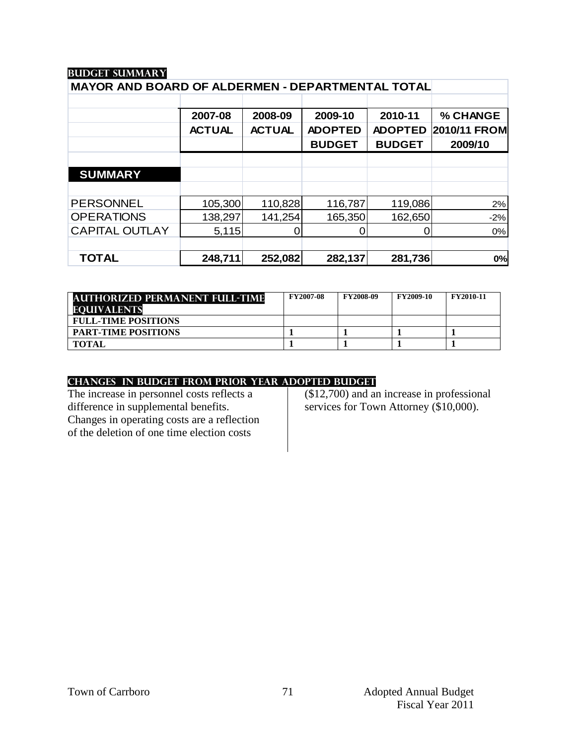| MAYOR AND BOARD OF ALDERMEN - DEPARTMENTAL TOTAL |               |               |                |                |              |  |  |
|--------------------------------------------------|---------------|---------------|----------------|----------------|--------------|--|--|
|                                                  |               |               |                |                |              |  |  |
|                                                  | 2007-08       | 2008-09       | 2009-10        | 2010-11        | % CHANGE     |  |  |
|                                                  | <b>ACTUAL</b> | <b>ACTUAL</b> | <b>ADOPTED</b> | <b>ADOPTED</b> | 2010/11 FROM |  |  |
|                                                  |               |               | <b>BUDGET</b>  | <b>BUDGET</b>  | 2009/10      |  |  |
|                                                  |               |               |                |                |              |  |  |
| <b>SUMMARY</b>                                   |               |               |                |                |              |  |  |
|                                                  |               |               |                |                |              |  |  |
| <b>PERSONNEL</b>                                 | 105,300       | 110,828       | 116,787        | 119,086        | 2%           |  |  |
| <b>OPERATIONS</b>                                | 138,297       | 141,254       | 165,350        | 162,650        | $-2%$        |  |  |
| <b>CAPITAL OUTLAY</b>                            | 5,115         | 0             |                |                | 0%           |  |  |
|                                                  |               |               |                |                |              |  |  |
| <b>TOTAL</b>                                     | 248,711       | 252,082       | 282,137        | 281,736        | 0%           |  |  |

| <b>AUTHORIZED PERMANENT FULL-TIME</b><br><b>EQUIVALENTS</b> | <b>FY2007-08</b> | <b>FY2008-09</b> | <b>FY2009-10</b> | <b>FY2010-11</b> |
|-------------------------------------------------------------|------------------|------------------|------------------|------------------|
| <b>FULL-TIME POSITIONS</b>                                  |                  |                  |                  |                  |
| <b>PART-TIME POSITIONS</b>                                  |                  |                  |                  |                  |
| <b>TOTAL</b>                                                |                  |                  |                  |                  |

#### **changes in budget from prior year adopted budget**

The increase in personnel costs reflects a difference in supplemental benefits. Changes in operating costs are a reflection of the deletion of one time election costs

(\$12,700) and an increase in professional services for Town Attorney (\$10,000).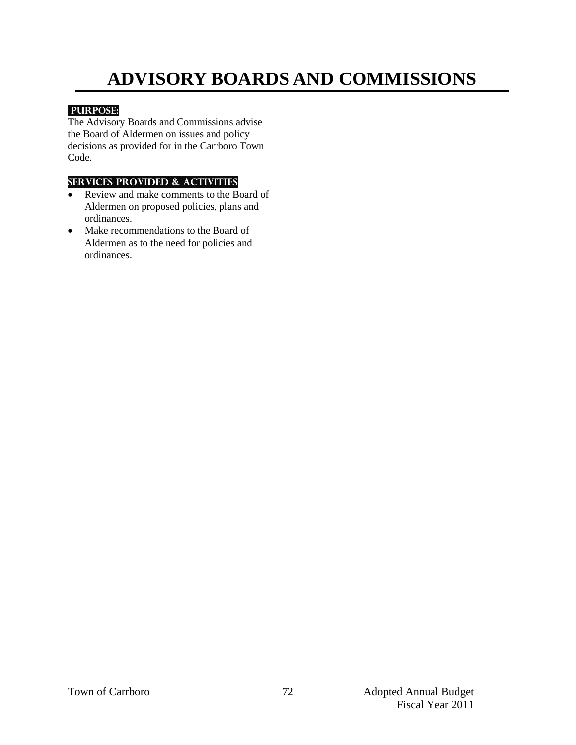# **ADVISORY BOARDS AND COMMISSIONS**

## **PURPOSE:**

The Advisory Boards and Commissions advise the Board of Aldermen on issues and policy decisions as provided for in the Carrboro Town Code.

## **Services provided & activities**

- Review and make comments to the Board of Aldermen on proposed policies, plans and ordinances.
- Make recommendations to the Board of Aldermen as to the need for policies and ordinances.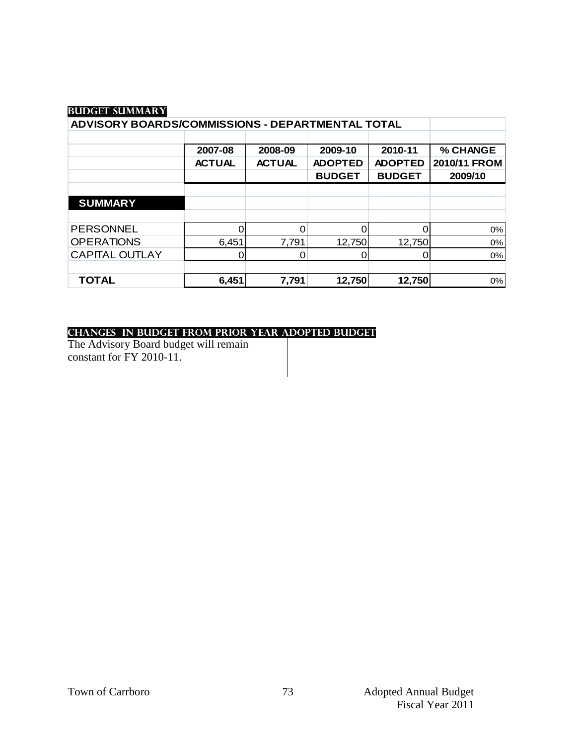| ADVISORY BOARDS/COMMISSIONS - DEPARTMENTAL TOTAL |               |               |                |                |              |
|--------------------------------------------------|---------------|---------------|----------------|----------------|--------------|
|                                                  |               |               |                |                |              |
|                                                  | 2007-08       | 2008-09       | 2009-10        | 2010-11        | % CHANGE     |
|                                                  | <b>ACTUAL</b> | <b>ACTUAL</b> | <b>ADOPTED</b> | <b>ADOPTED</b> | 2010/11 FROM |
|                                                  |               |               | <b>BUDGET</b>  | <b>BUDGET</b>  | 2009/10      |
|                                                  |               |               |                |                |              |
| <b>SUMMARY</b>                                   |               |               |                |                |              |
|                                                  |               |               |                |                |              |
| <b>PERSONNEL</b>                                 |               |               |                |                | 0%           |
| <b>OPERATIONS</b>                                | 6,451         | 7,791         | 12,750         | 12,750         | 0%           |
| <b>CAPITAL OUTLAY</b>                            |               |               |                |                | 0%           |
|                                                  |               |               |                |                |              |
| <b>TOTAL</b>                                     | 6,451         | 7,791         | 12,750         | 12,750         | 0%           |

#### **changes in budget from prior year adopted budget**

The Advisory Board budget will remain constant for FY 2010-11.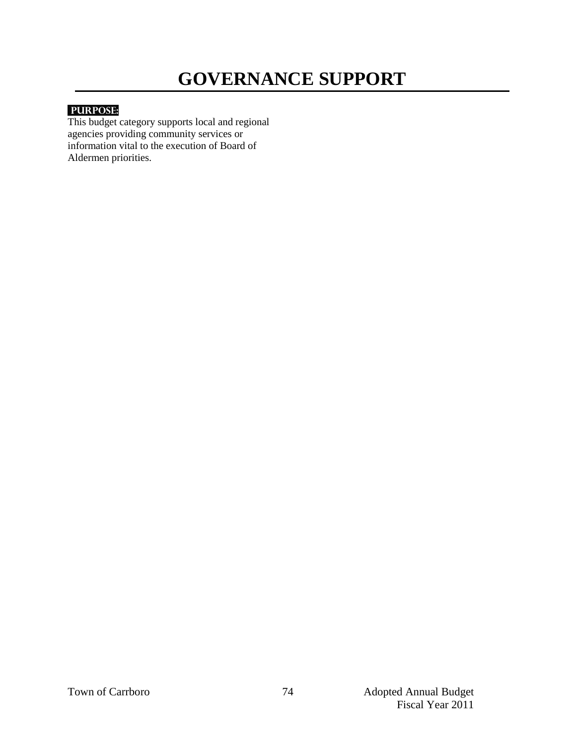## **GOVERNANCE SUPPORT**

## **PURPOSE:**

This budget category supports local and regional agencies providing community services or information vital to the execution of Board of Aldermen priorities.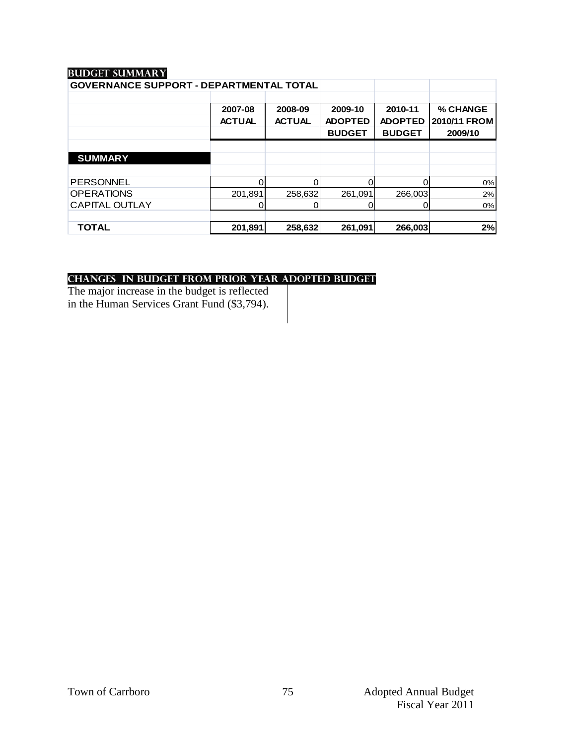| <b>GOVERNANCE SUPPORT - DEPARTMENTAL TOTAL</b> |               |               |                |                |                     |
|------------------------------------------------|---------------|---------------|----------------|----------------|---------------------|
|                                                |               |               |                |                |                     |
|                                                | 2007-08       | 2008-09       | 2009-10        | 2010-11        | % CHANGE            |
|                                                | <b>ACTUAL</b> | <b>ACTUAL</b> | <b>ADOPTED</b> | <b>ADOPTED</b> | <b>2010/11 FROM</b> |
|                                                |               |               | <b>BUDGET</b>  | <b>BUDGET</b>  | 2009/10             |
|                                                |               |               |                |                |                     |
| <b>SUMMARY</b>                                 |               |               |                |                |                     |
|                                                |               |               |                |                |                     |
| <b>PERSONNEL</b>                               |               |               | O              | 0              | 0%                  |
| <b>OPERATIONS</b>                              | 201,891       | 258,632       | 261,091        | 266,003        | 2%                  |
| <b>CAPITAL OUTLAY</b>                          |               |               |                | 0              | 0%                  |
|                                                |               |               |                |                |                     |
| <b>TOTAL</b>                                   | 201,891       | 258,632       | 261,091        | 266,003        | 2%                  |

## **changes in budget from prior year adopted budget**

The major increase in the budget is reflected in the Human Services Grant Fund (\$3,794).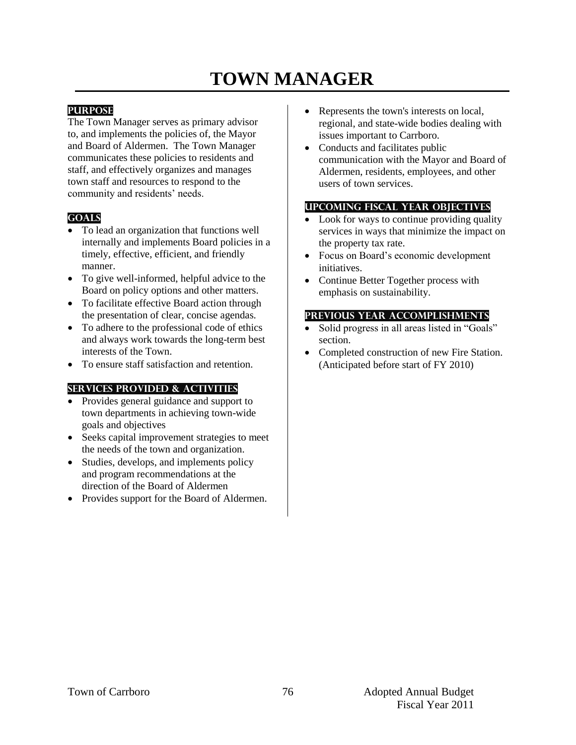## **TOWN MANAGER**

#### **PURPOSE**

The Town Manager serves as primary advisor to, and implements the policies of, the Mayor and Board of Aldermen. The Town Manager communicates these policies to residents and staff, and effectively organizes and manages town staff and resources to respond to the community and residents' needs.

#### **GOALS**

- To lead an organization that functions well internally and implements Board policies in a timely, effective, efficient, and friendly manner.
- To give well-informed, helpful advice to the Board on policy options and other matters.
- To facilitate effective Board action through the presentation of clear, concise agendas.
- To adhere to the professional code of ethics and always work towards the long-term best interests of the Town.
- To ensure staff satisfaction and retention.

#### **SERVICES PROVIDED & ACTIVITIES**

- Provides general guidance and support to town departments in achieving town-wide goals and objectives
- Seeks capital improvement strategies to meet the needs of the town and organization.
- Studies, develops, and implements policy and program recommendations at the direction of the Board of Aldermen
- Provides support for the Board of Aldermen.
- Represents the town's interests on local, regional, and state-wide bodies dealing with issues important to Carrboro.
- Conducts and facilitates public communication with the Mayor and Board of Aldermen, residents, employees, and other users of town services.

### **UPCOMING FISCAL YEAR OBJECTIVES**

- Look for ways to continue providing quality services in ways that minimize the impact on the property tax rate.
- Focus on Board's economic development initiatives.
- Continue Better Together process with emphasis on sustainability.

#### **PREVIOUS YEAR ACCOMPLISHMENTS**

- Solid progress in all areas listed in "Goals" section.
- Completed construction of new Fire Station. (Anticipated before start of FY 2010)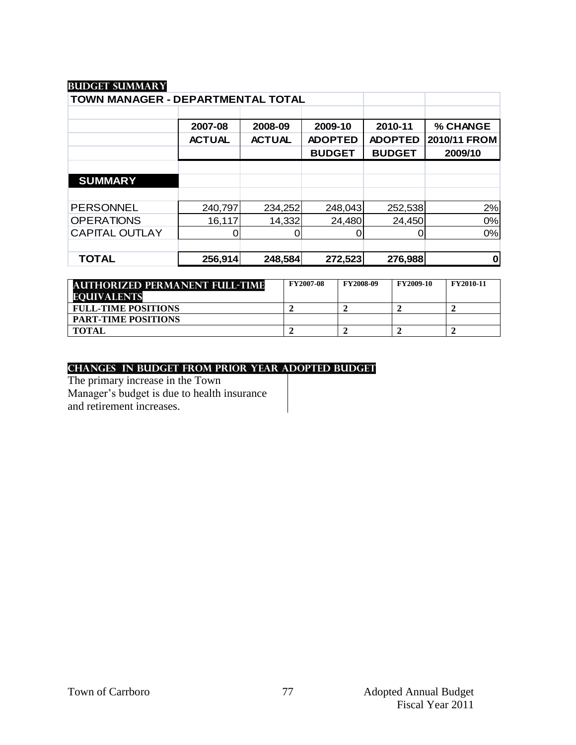| TOWN MANAGER - DEPARTMENTAL TOTAL |               |               |                |                |              |
|-----------------------------------|---------------|---------------|----------------|----------------|--------------|
|                                   |               |               |                |                |              |
|                                   | 2007-08       | 2008-09       | 2009-10        | 2010-11        | % CHANGE     |
|                                   | <b>ACTUAL</b> | <b>ACTUAL</b> | <b>ADOPTED</b> | <b>ADOPTED</b> | 2010/11 FROM |
|                                   |               |               | <b>BUDGET</b>  | <b>BUDGET</b>  | 2009/10      |
|                                   |               |               |                |                |              |
| <b>SUMMARY</b>                    |               |               |                |                |              |
|                                   |               |               |                |                |              |
| <b>PERSONNEL</b>                  | 240,797       | 234,252       | 248,043        | 252,538        | 2%           |
| <b>OPERATIONS</b>                 | 16,117        | 14,332        | 24,480         | 24,450         | 0%           |
| <b>CAPITAL OUTLAY</b>             |               |               | 0              |                | 0%           |
|                                   |               |               |                |                |              |
| <b>TOTAL</b>                      | 256,914       | 248,584       | 272,523        | 276,988        | 0            |

| <b>AUTHORIZED PERMANENT FULL-TIME</b><br><b>EOUIVALENTS</b> | <b>FY2007-08</b> | <b>FY2008-09</b> | <b>FY2009-10</b> | <b>FY2010-11</b> |
|-------------------------------------------------------------|------------------|------------------|------------------|------------------|
| <b>FULL-TIME POSITIONS</b>                                  |                  |                  |                  |                  |
| <b>PART-TIME POSITIONS</b>                                  |                  |                  |                  |                  |
| <b>TOTAL</b>                                                |                  |                  |                  |                  |

#### **changes in budget from prior year adopted budget**

The primary increase in the Town Manager's budget is due to health insurance and retirement increases.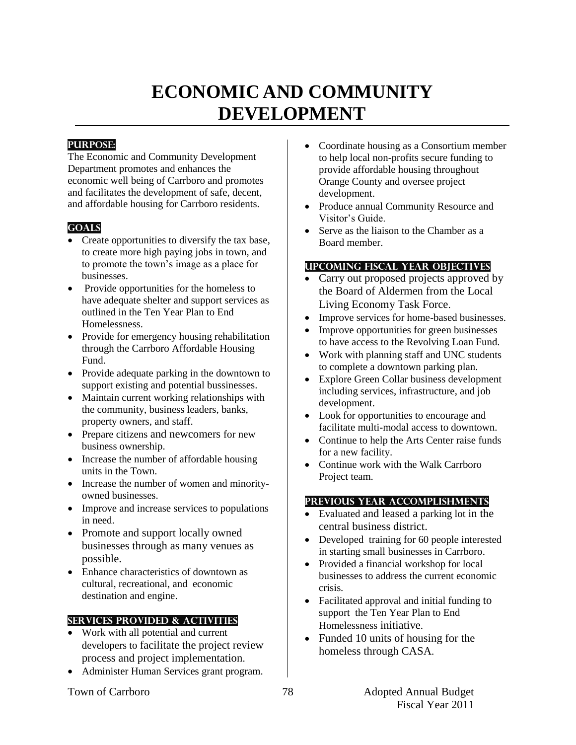## **ECONOMIC AND COMMUNITY DEVELOPMENT**

## **PURPOSE:**

The Economic and Community Development Department promotes and enhances the economic well being of Carrboro and promotes and facilitates the development of safe, decent, and affordable housing for Carrboro residents.

## **Goals**

- Create opportunities to diversify the tax base, to create more high paying jobs in town, and to promote the town's image as a place for businesses.
- Provide opportunities for the homeless to have adequate shelter and support services as outlined in the Ten Year Plan to End Homelessness.
- Provide for emergency housing rehabilitation through the Carrboro Affordable Housing Fund.
- Provide adequate parking in the downtown to support existing and potential bussinesses.
- Maintain current working relationships with the community, business leaders, banks, property owners, and staff.
- Prepare citizens and newcomers for new business ownership.
- Increase the number of affordable housing units in the Town.
- Increase the number of women and minorityowned businesses.
- Improve and increase services to populations in need.
- Promote and support locally owned businesses through as many venues as possible.
- Enhance characteristics of downtown as cultural, recreational, and economic destination and engine.

#### **Services provided & activities**

- Work with all potential and current developers to facilitate the project review process and project implementation.
- Administer Human Services grant program.
- Coordinate housing as a Consortium member to help local non-profits secure funding to provide affordable housing throughout Orange County and oversee project development.
- Produce annual Community Resource and Visitor's Guide.
- Serve as the liaison to the Chamber as a Board member.

## **Upcoming Fiscal year objectives**

- Carry out proposed projects approved by the Board of Aldermen from the Local Living Economy Task Force.
- Improve services for home-based businesses.
- Improve opportunities for green businesses to have access to the Revolving Loan Fund.
- Work with planning staff and UNC students to complete a downtown parking plan.
- Explore Green Collar business development including services, infrastructure, and job development.
- Look for opportunities to encourage and facilitate multi-modal access to downtown.
- Continue to help the Arts Center raise funds for a new facility.
- Continue work with the Walk Carrboro Project team.

- Evaluated and leased a parking lot in the central business district.
- Developed training for 60 people interested in starting small businesses in Carrboro.
- Provided a financial workshop for local businesses to address the current economic crisis.
- Facilitated approval and initial funding to support the Ten Year Plan to End Homelessness initiative.
- Funded 10 units of housing for the homeless through CASA.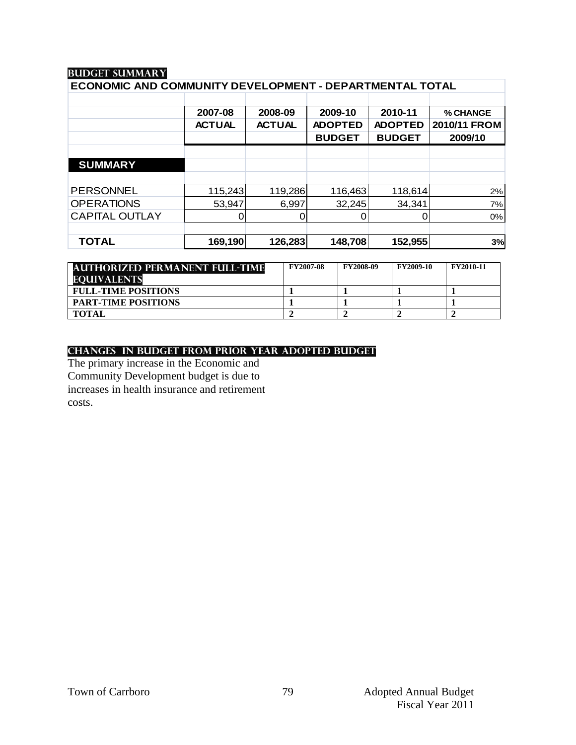| ECONOMIC AND COMMUNITY DEVELOPMENT - DEPARTMENTAL TOTAL |               |                |                    |              |  |  |  |
|---------------------------------------------------------|---------------|----------------|--------------------|--------------|--|--|--|
|                                                         |               |                |                    |              |  |  |  |
| 2007-08                                                 | 2008-09       | 2009-10        | 2010-11            | % CHANGE     |  |  |  |
| <b>ACTUAL</b>                                           | <b>ACTUAL</b> | <b>ADOPTED</b> | <b>ADOPTED</b>     | 2010/11 FROM |  |  |  |
|                                                         |               | <b>BUDGET</b>  | <b>BUDGET</b>      | 2009/10      |  |  |  |
|                                                         |               |                |                    |              |  |  |  |
|                                                         |               |                |                    |              |  |  |  |
|                                                         |               |                |                    |              |  |  |  |
| 115,243                                                 |               | 116,463        | 118,614            | 2%           |  |  |  |
| 53,947                                                  | 6,997         | 32,245         | 34,341             | 7%           |  |  |  |
|                                                         |               | Ω              | 0                  | 0%           |  |  |  |
|                                                         |               |                |                    |              |  |  |  |
| 169,190                                                 |               |                | 152,955            | 3%           |  |  |  |
|                                                         |               |                | 119,286<br>126,283 | 148,708      |  |  |  |

| <b>AUTHORIZED PERMANENT FULL-TIME</b> | <b>FY2007-08</b> | <b>FY2008-09</b> | <b>FY2009-10</b> | <b>FY2010-11</b> |
|---------------------------------------|------------------|------------------|------------------|------------------|
| <b>EQUIVALENTS</b>                    |                  |                  |                  |                  |
| <b>FULL-TIME POSITIONS</b>            |                  |                  |                  |                  |
| <b>PART-TIME POSITIONS</b>            |                  |                  |                  |                  |
| <b>TOTAL</b>                          |                  |                  |                  |                  |

#### **changes in budget from prior year adopted budget**

The primary increase in the Economic and Community Development budget is due to increases in health insurance and retirement costs.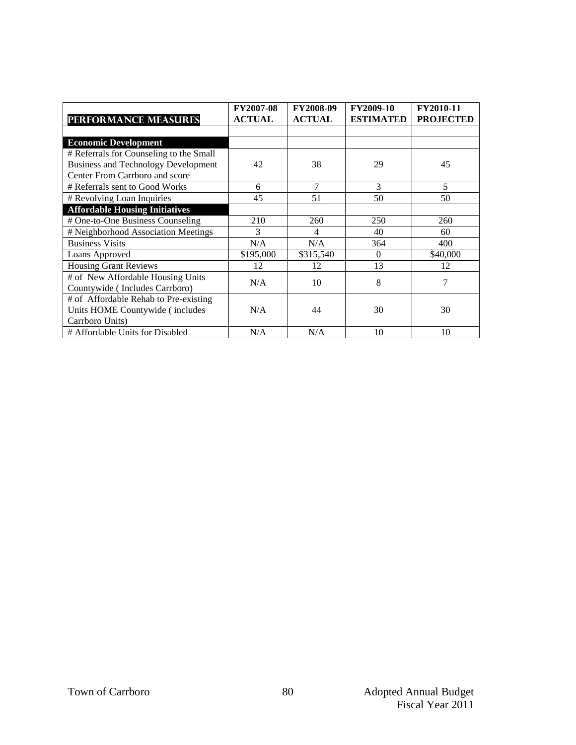|                                            | FY2007-08     | <b>FY2008-09</b> | FY2009-10        | FY2010-11        |
|--------------------------------------------|---------------|------------------|------------------|------------------|
| <b>PERFORMANCE MEASURES</b>                | <b>ACTUAL</b> | <b>ACTUAL</b>    | <b>ESTIMATED</b> | <b>PROJECTED</b> |
|                                            |               |                  |                  |                  |
| <b>Economic Development</b>                |               |                  |                  |                  |
| # Referrals for Counseling to the Small    |               |                  |                  |                  |
| <b>Business and Technology Development</b> | 42            | 38               | 29               | 45               |
| Center From Carrboro and score             |               |                  |                  |                  |
| # Referrals sent to Good Works             | 6             | 7                | 3                | 5                |
| # Revolving Loan Inquiries                 | 45            | 51               | 50               | 50               |
| <b>Affordable Housing Initiatives</b>      |               |                  |                  |                  |
| # One-to-One Business Counseling           | 210           | 260              | 250              | 260              |
| # Neighborhood Association Meetings        | 3             | 4                | 40               | 60               |
| <b>Business Visits</b>                     | N/A           | N/A              | 364              | 400              |
| Loans Approved                             | \$195,000     | \$315,540        | $\Omega$         | \$40,000         |
| <b>Housing Grant Reviews</b>               | 12            | 12               | 13               | 12               |
| # of New Affordable Housing Units          | N/A           | 10               | 8                | 7                |
| Countywide (Includes Carrboro)             |               |                  |                  |                  |
| # of Affordable Rehab to Pre-existing      |               |                  |                  |                  |
| Units HOME Countywide (includes            | N/A           | 44               | 30               | 30               |
| Carrboro Units)                            |               |                  |                  |                  |
| # Affordable Units for Disabled            | N/A           | N/A              | 10               | 10               |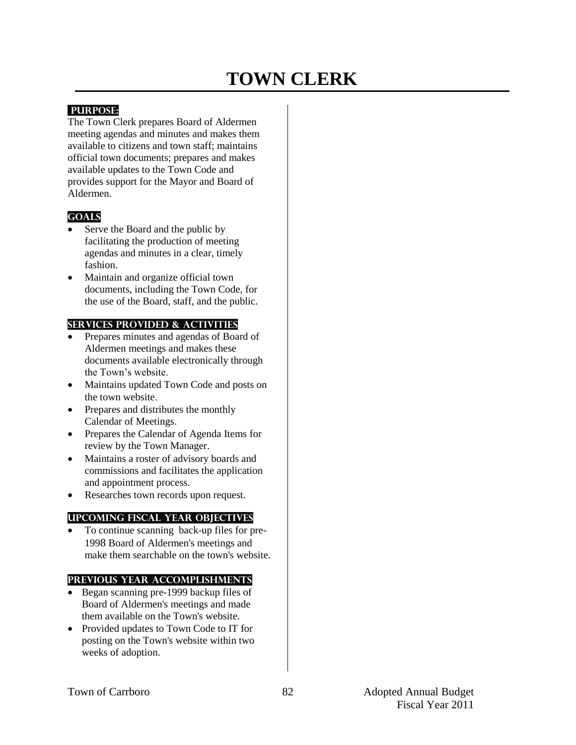## **TOWN CLERK**

#### **PURPOSE:**

The Town Clerk prepares Board of Aldermen meeting agendas and minutes and makes them available to citizens and town staff; maintains official town documents; prepares and makes available updates to the Town Code and provides support for the Mayor and Board of Aldermen.

## **Goals**

- Serve the Board and the public by facilitating the production of meeting agendas and minutes in a clear, timely fashion.
- Maintain and organize official town documents, including the Town Code, for the use of the Board, staff, and the public.

#### **Services provided & activities**

- Prepares minutes and agendas of Board of Aldermen meetings and makes these documents available electronically through the Town's website.
- Maintains updated Town Code and posts on the town website.
- Prepares and distributes the monthly Calendar of Meetings.
- Prepares the Calendar of Agenda Items for review by the Town Manager.
- Maintains a roster of advisory boards and commissions and facilitates the application and appointment process.
- Researches town records upon request.

#### **Upcoming Fiscal year objectives**

 To continue scanning back-up files for pre-1998 Board of Aldermen's meetings and make them searchable on the town's website.

- Began scanning pre-1999 backup files of Board of Aldermen's meetings and made them available on the Town's website.
- Provided updates to Town Code to IT for posting on the Town's website within two weeks of adoption.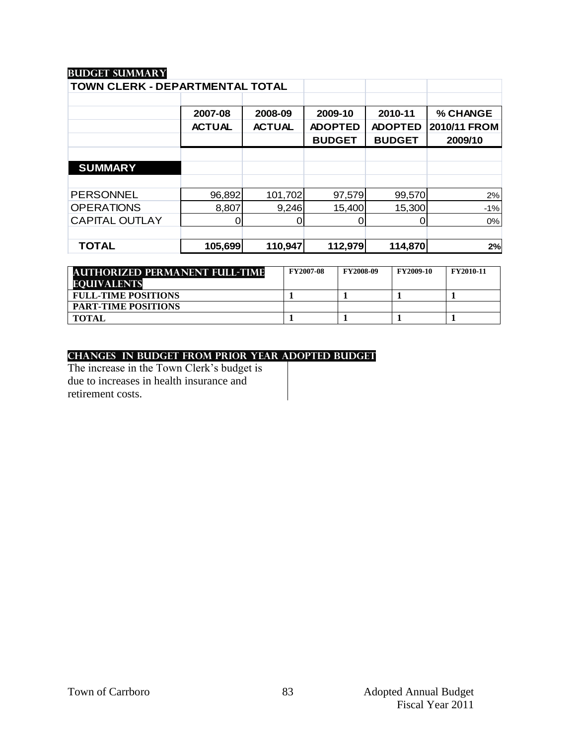| TOWN CLERK - DEPARTMENTAL TOTAL |               |               |                |                |              |
|---------------------------------|---------------|---------------|----------------|----------------|--------------|
|                                 |               |               |                |                |              |
|                                 | 2007-08       | 2008-09       | 2009-10        | 2010-11        | % CHANGE     |
|                                 | <b>ACTUAL</b> | <b>ACTUAL</b> | <b>ADOPTED</b> | <b>ADOPTED</b> | 2010/11 FROM |
|                                 |               |               | <b>BUDGET</b>  | <b>BUDGET</b>  | 2009/10      |
|                                 |               |               |                |                |              |
| <b>SUMMARY</b>                  |               |               |                |                |              |
|                                 |               |               |                |                |              |
| <b>PERSONNEL</b>                | 96,892        | 101,702       | 97,579         | 99,570         | 2%           |
| <b>OPERATIONS</b>               | 8,807         | 9,246         | 15,400         | 15,300         | $-1%$        |
| <b>CAPITAL OUTLAY</b>           |               |               | 0              |                | 0%           |
|                                 |               |               |                |                |              |
| <b>TOTAL</b>                    | 105,699       | 110,947       | 112,979        | 114,870        | 2%           |

| <b>AUTHORIZED PERMANENT FULL-TIME</b> | <b>FY2007-08</b> | <b>FY2008-09</b> | <b>FY2009-10</b> | <b>FY2010-11</b> |
|---------------------------------------|------------------|------------------|------------------|------------------|
| <b>EQUIVALENTS</b>                    |                  |                  |                  |                  |
| <b>FULL-TIME POSITIONS</b>            |                  |                  |                  |                  |
| <b>PART-TIME POSITIONS</b>            |                  |                  |                  |                  |
| <b>TOTAL</b>                          |                  |                  |                  |                  |

## **changes in budget from prior year adopted budget**

The increase in the Town Clerk's budget is due to increases in health insurance and retirement costs.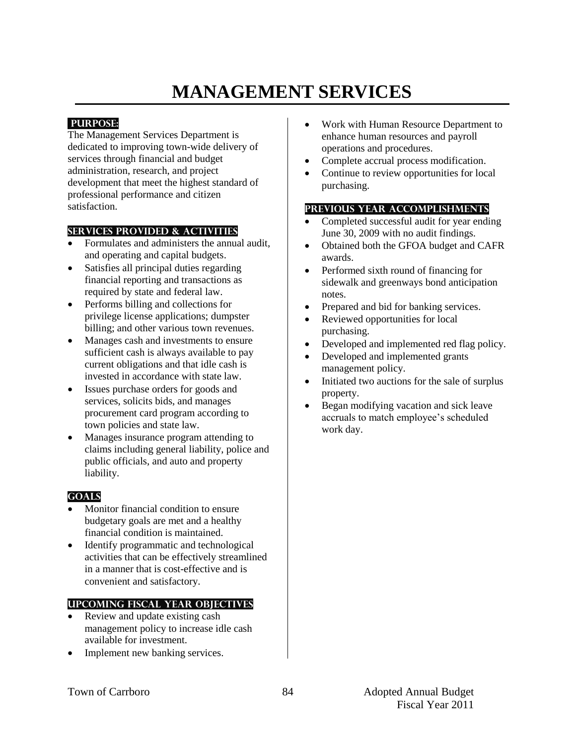# **MANAGEMENT SERVICES**

## **PURPOSE:**

The Management Services Department is dedicated to improving town-wide delivery of services through financial and budget administration, research, and project development that meet the highest standard of professional performance and citizen satisfaction.

## **Services provided & activities**

- Formulates and administers the annual audit, and operating and capital budgets.
- Satisfies all principal duties regarding financial reporting and transactions as required by state and federal law.
- Performs billing and collections for privilege license applications; dumpster billing; and other various town revenues.
- Manages cash and investments to ensure sufficient cash is always available to pay current obligations and that idle cash is invested in accordance with state law.
- Issues purchase orders for goods and services, solicits bids, and manages procurement card program according to town policies and state law.
- Manages insurance program attending to claims including general liability, police and public officials, and auto and property liability.

## **Goals**

- Monitor financial condition to ensure budgetary goals are met and a healthy financial condition is maintained.
- Identify programmatic and technological activities that can be effectively streamlined in a manner that is cost-effective and is convenient and satisfactory.

#### **Upcoming Fiscal year objectives**

- Review and update existing cash management policy to increase idle cash available for investment.
- Implement new banking services.
- Work with Human Resource Department to enhance human resources and payroll operations and procedures.
- Complete accrual process modification.
- Continue to review opportunities for local purchasing.

- Completed successful audit for year ending June 30, 2009 with no audit findings.
- Obtained both the GFOA budget and CAFR awards.
- Performed sixth round of financing for sidewalk and greenways bond anticipation notes.
- Prepared and bid for banking services.
- Reviewed opportunities for local purchasing.
- Developed and implemented red flag policy.
- Developed and implemented grants management policy.
- Initiated two auctions for the sale of surplus property.
- Began modifying vacation and sick leave accruals to match employee's scheduled work day.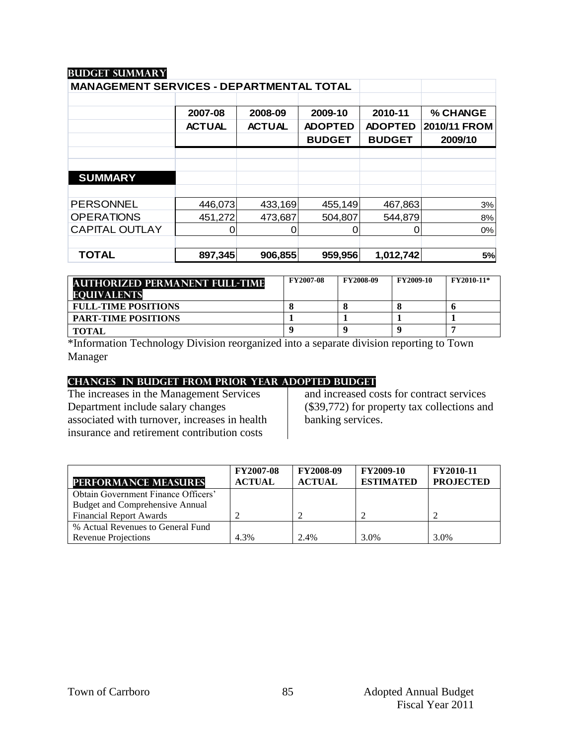| <b>MANAGEMENT SERVICES - DEPARTMENTAL TOTAL</b> |               |               |                |                |              |
|-------------------------------------------------|---------------|---------------|----------------|----------------|--------------|
|                                                 |               |               |                |                |              |
|                                                 | 2007-08       | 2008-09       | 2009-10        | 2010-11        | % CHANGE     |
|                                                 | <b>ACTUAL</b> | <b>ACTUAL</b> | <b>ADOPTED</b> | <b>ADOPTED</b> | 2010/11 FROM |
|                                                 |               |               | <b>BUDGET</b>  | <b>BUDGET</b>  | 2009/10      |
|                                                 |               |               |                |                |              |
|                                                 |               |               |                |                |              |
| <b>SUMMARY</b>                                  |               |               |                |                |              |
|                                                 |               |               |                |                |              |
| <b>PERSONNEL</b>                                | 446,073       | 433,169       | 455,149        | 467,863        | 3%           |
| <b>OPERATIONS</b>                               | 451,272       | 473,687       | 504,807        | 544,879        | 8%           |
| <b>CAPITAL OUTLAY</b>                           |               |               | 0              |                | 0%           |
|                                                 |               |               |                |                |              |
| <b>TOTAL</b>                                    | 897,345       | 906,855       | 959,956        | 1,012,742      | 5%           |

| <b>AUTHORIZED PERMANENT FULL-TIME</b><br><b>EQUIVALENTS</b> | <b>FY2007-08</b> | <b>FY2008-09</b> | <b>FY2009-10</b> | <b>FY2010-11*</b> |
|-------------------------------------------------------------|------------------|------------------|------------------|-------------------|
| <b>FULL-TIME POSITIONS</b>                                  |                  |                  |                  |                   |
| <b>PART-TIME POSITIONS</b>                                  |                  |                  |                  |                   |
| <b>TOTAL</b>                                                |                  |                  |                  |                   |

\*Information Technology Division reorganized into a separate division reporting to Town Manager

#### **changes in budget from prior year adopted budgeT**

The increases in the Management Services Department include salary changes associated with turnover, increases in health insurance and retirement contribution costs

and increased costs for contract services (\$39,772) for property tax collections and banking services.

| <b>PERFORMANCE MEASURES</b>            | <b>FY2007-08</b><br><b>ACTUAL</b> | <b>FY2008-09</b><br><b>ACTUAL</b> | <b>FY2009-10</b><br><b>ESTIMATED</b> | <b>FY2010-11</b><br><b>PROJECTED</b> |
|----------------------------------------|-----------------------------------|-----------------------------------|--------------------------------------|--------------------------------------|
| Obtain Government Finance Officers'    |                                   |                                   |                                      |                                      |
| <b>Budget and Comprehensive Annual</b> |                                   |                                   |                                      |                                      |
| <b>Financial Report Awards</b>         |                                   |                                   |                                      |                                      |
| % Actual Revenues to General Fund      |                                   |                                   |                                      |                                      |
| <b>Revenue Projections</b>             | 4.3%                              | 2.4%                              | 3.0%                                 | 3.0%                                 |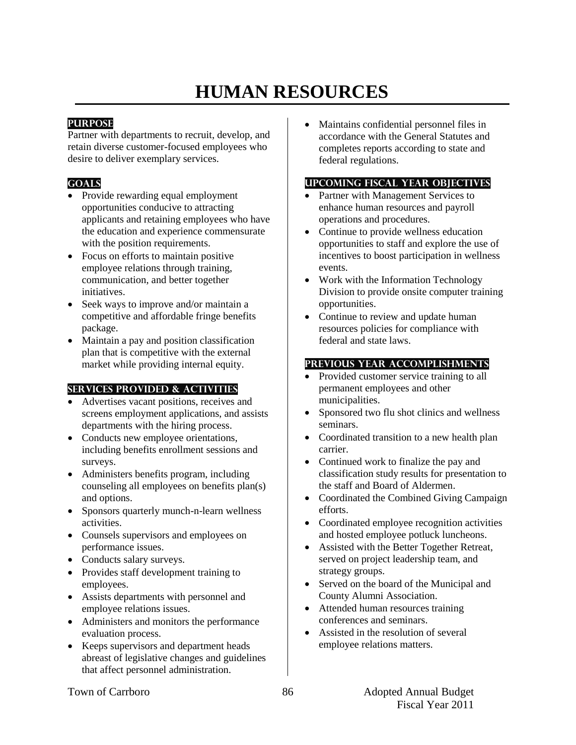# **HUMAN RESOURCES**

#### **PURPOSE**

Partner with departments to recruit, develop, and retain diverse customer-focused employees who desire to deliver exemplary services.

## **GOALS**

- Provide rewarding equal employment opportunities conducive to attracting applicants and retaining employees who have the education and experience commensurate with the position requirements.
- Focus on efforts to maintain positive employee relations through training, communication, and better together initiatives.
- Seek ways to improve and/or maintain a competitive and affordable fringe benefits package.
- Maintain a pay and position classification plan that is competitive with the external market while providing internal equity.

## **SERVICES PROVIDED & ACTIVITIES**

- Advertises vacant positions, receives and screens employment applications, and assists departments with the hiring process.
- Conducts new employee orientations, including benefits enrollment sessions and surveys.
- Administers benefits program, including counseling all employees on benefits plan(s) and options.
- Sponsors quarterly munch-n-learn wellness activities.
- Counsels supervisors and employees on performance issues.
- Conducts salary surveys.
- Provides staff development training to employees.
- Assists departments with personnel and employee relations issues.
- Administers and monitors the performance evaluation process.
- Keeps supervisors and department heads abreast of legislative changes and guidelines that affect personnel administration.

 Maintains confidential personnel files in accordance with the General Statutes and completes reports according to state and federal regulations.

## **UPCOMING FISCAL YEAR OBJECTIVES**

- Partner with Management Services to enhance human resources and payroll operations and procedures.
- Continue to provide wellness education opportunities to staff and explore the use of incentives to boost participation in wellness events.
- Work with the Information Technology Division to provide onsite computer training opportunities.
- Continue to review and update human resources policies for compliance with federal and state laws.

#### **PREVIOUS YEAR ACCOMPLISHMENTS**

- Provided customer service training to all permanent employees and other municipalities.
- Sponsored two flu shot clinics and wellness seminars.
- Coordinated transition to a new health plan carrier.
- Continued work to finalize the pay and classification study results for presentation to the staff and Board of Aldermen.
- Coordinated the Combined Giving Campaign efforts.
- Coordinated employee recognition activities and hosted employee potluck luncheons.
- Assisted with the Better Together Retreat, served on project leadership team, and strategy groups.
- Served on the board of the Municipal and County Alumni Association.
- Attended human resources training conferences and seminars.
- Assisted in the resolution of several employee relations matters.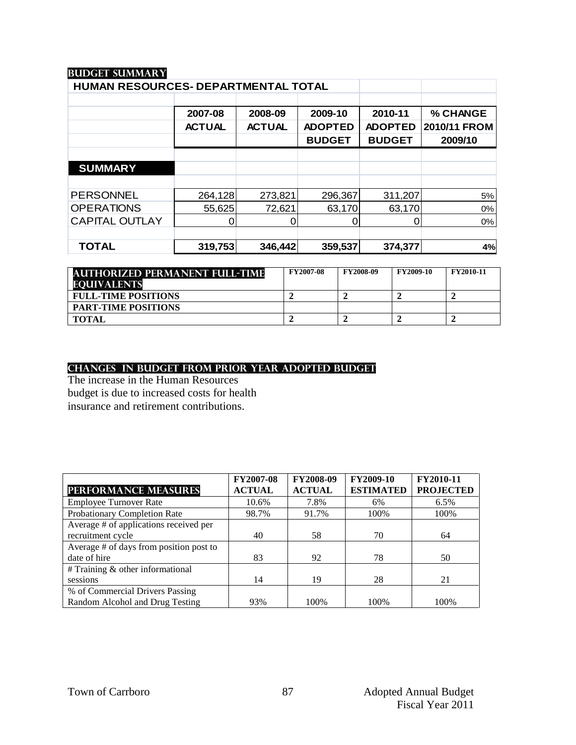| 2007-08       | 2008-09       | 2009-10        | 2010-11        | % CHANGE     |
|---------------|---------------|----------------|----------------|--------------|
| <b>ACTUAL</b> | <b>ACTUAL</b> | <b>ADOPTED</b> | <b>ADOPTED</b> | 2010/11 FROM |
|               |               | <b>BUDGET</b>  | <b>BUDGET</b>  | 2009/10      |
|               |               |                |                |              |
|               |               |                |                |              |
|               |               |                |                |              |
| 264,128       | 273,821       | 296,367        | 311,207        | 5%           |
| 55,625        | 72,621        | 63,170         | 63,170         | 0%           |
| 0             |               | 0              |                | 0%           |
|               |               |                |                |              |
| 319,753       | 346,442       | 359,537        | 374,377        | 4%           |
|               |               |                |                |              |

| <b>AUTHORIZED PERMANENT FULL-TIME</b> | <b>FY2007-08</b> | <b>FY2008-09</b> | <b>FY2009-10</b> | <b>FY2010-11</b> |
|---------------------------------------|------------------|------------------|------------------|------------------|
| <b>EQUIVALENTS</b>                    |                  |                  |                  |                  |
| <b>FULL-TIME POSITIONS</b>            |                  |                  |                  |                  |
| <b>PART-TIME POSITIONS</b>            |                  |                  |                  |                  |
| <b>TOTAL</b>                          |                  |                  |                  |                  |

#### **changes in budget from prior year adopted budget**

The increase in the Human Resources budget is due to increased costs for health insurance and retirement contributions.

|                                         | <b>FY2007-08</b> | FY2008-09     | FY2009-10        | FY2010-11        |
|-----------------------------------------|------------------|---------------|------------------|------------------|
| <b>PERFORMANCE MEASURES</b>             | <b>ACTUAL</b>    | <b>ACTUAL</b> | <b>ESTIMATED</b> | <b>PROJECTED</b> |
| <b>Employee Turnover Rate</b>           | 10.6%            | 7.8%          | 6%               | 6.5%             |
| Probationary Completion Rate            | 98.7%            | 91.7%         | 100%             | 100%             |
| Average # of applications received per  |                  |               |                  |                  |
| recruitment cycle                       | 40               | 58            | 70               | 64               |
| Average # of days from position post to |                  |               |                  |                  |
| date of hire                            | 83               | 92            | 78               | 50               |
| $#$ Training $&$ other informational    |                  |               |                  |                  |
| sessions                                | 14               | 19            | 28               | 21               |
| % of Commercial Drivers Passing         |                  |               |                  |                  |
| Random Alcohol and Drug Testing         | 93%              | 100\%         | 100%             | 100\%            |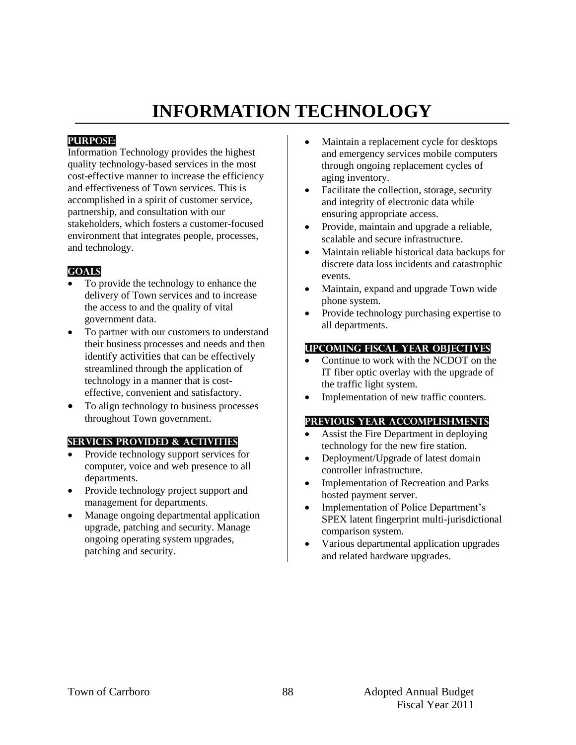# **INFORMATION TECHNOLOGY**

## **PURPOSE:**

Information Technology provides the highest quality technology-based services in the most cost-effective manner to increase the efficiency and effectiveness of Town services. This is accomplished in a spirit of customer service, partnership, and consultation with our stakeholders, which fosters a customer-focused environment that integrates people, processes, and technology.

## **Goals**

- To provide the technology to enhance the delivery of Town services and to increase the access to and the quality of vital government data.
- To partner with our customers to understand their business processes and needs and then identify activities that can be effectively streamlined through the application of technology in a manner that is costeffective, convenient and satisfactory.
- To align technology to business processes throughout Town government.

#### **Services provided & activities**

- Provide technology support services for computer, voice and web presence to all departments.
- Provide technology project support and management for departments.
- Manage ongoing departmental application upgrade, patching and security. Manage ongoing operating system upgrades, patching and security.
- Maintain a replacement cycle for desktops and emergency services mobile computers through ongoing replacement cycles of aging inventory.
- Facilitate the collection, storage, security and integrity of electronic data while ensuring appropriate access.
- Provide, maintain and upgrade a reliable, scalable and secure infrastructure.
- Maintain reliable historical data backups for discrete data loss incidents and catastrophic events.
- Maintain, expand and upgrade Town wide phone system.
- Provide technology purchasing expertise to all departments.

#### **Upcoming Fiscal year objectives**

- Continue to work with the NCDOT on the IT fiber optic overlay with the upgrade of the traffic light system.
- Implementation of new traffic counters.

- Assist the Fire Department in deploying technology for the new fire station.
- Deployment/Upgrade of latest domain controller infrastructure.
- Implementation of Recreation and Parks hosted payment server.
- Implementation of Police Department's SPEX latent fingerprint multi-jurisdictional comparison system.
- Various departmental application upgrades and related hardware upgrades.